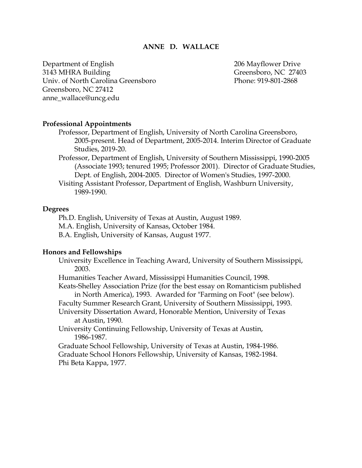#### **ANNE D. WALLACE**

Department of English 206 Mayflower Drive 3143 MHRA Building Greensboro, NC 27403 Univ. of North Carolina Greensboro Phone: 919-801-2868 Greensboro, NC 27412 anne\_wallace@uncg.edu

#### **Professional Appointments**

Professor, Department of English, University of North Carolina Greensboro, 2005-present. Head of Department, 2005-2014. Interim Director of Graduate Studies, 2019-20.

Professor, Department of English, University of Southern Mississippi, 1990-2005 (Associate 1993; tenured 1995; Professor 2001). Director of Graduate Studies, Dept. of English, 2004-2005. Director of Women's Studies, 1997-2000.

Visiting Assistant Professor, Department of English, Washburn University, 1989-1990.

#### **Degrees**

Ph.D. English, University of Texas at Austin, August 1989. M.A. English, University of Kansas, October 1984. B.A. English, University of Kansas, August 1977.

#### **Honors and Fellowships**

University Excellence in Teaching Award, University of Southern Mississippi, 2003.

Humanities Teacher Award, Mississippi Humanities Council, 1998.

Keats-Shelley Association Prize (for the best essay on Romanticism published in North America), 1993. Awarded for "Farming on Foot" (see below).

Faculty Summer Research Grant, University of Southern Mississippi, 1993.

University Dissertation Award, Honorable Mention, University of Texas at Austin, 1990.

University Continuing Fellowship, University of Texas at Austin, 1986-1987.

Graduate School Fellowship, University of Texas at Austin, 1984-1986. Graduate School Honors Fellowship, University of Kansas, 1982-1984. Phi Beta Kappa, 1977.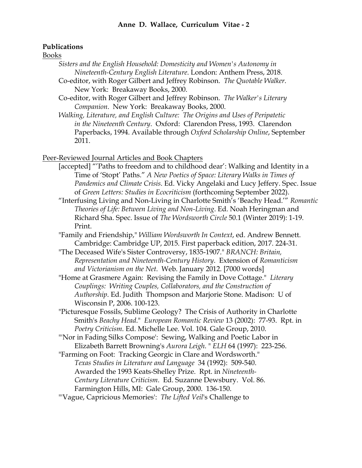#### **Publications**

Books

- *Sisters and the English Household: Domesticity and Women's Autonomy in Nineteenth-Century English Literature*. London: Anthem Press, 2018.
- Co-editor, with Roger Gilbert and Jeffrey Robinson. *The Quotable Walker*. New York: Breakaway Books, 2000.
- Co-editor, with Roger Gilbert and Jeffrey Robinson. *The Walker's Literary Companion*. New York: Breakaway Books, 2000.
- *Walking, Literature, and English Culture: The Origins and Uses of Peripatetic in the Nineteenth Century*. Oxford: Clarendon Press, 1993. Clarendon Paperbacks, 1994. Available through *Oxford Scholarship Online*, September 2011.

Peer-Reviewed Journal Articles and Book Chapters

- [accepted] "'Paths to freedom and to childhood dear': Walking and Identity in a Time of 'Stopt' Paths." *A New Poetics of Space: Literary Walks in Times of Pandemics and Climate Crisis*. Ed. Vicky Angelaki and Lucy Jeffery. Spec. Issue of *Green Letters: Studies in Ecocriticism* (forthcoming September 2022).
- "Interfusing Living and Non-Living in Charlotte Smith's 'Beachy Head.'" *Romantic Theories of Life: Between Living and Non-Living*. Ed. Noah Heringman and Richard Sha. Spec. Issue of *The Wordsworth Circle* 50.1 (Winter 2019): 1-19. Print.
- "Family and Friendship," *William Wordsworth In Context*, ed. Andrew Bennett. Cambridge: Cambridge UP, 2015. First paperback edition, 2017. 224-31.
- "The Deceased Wife's Sister Controversy, 1835-1907." *BRANCH: Britain, Representation and Nineteenth-Century History*. Extension of *Romanticism and Victorianism on the Net*. Web. January 2012. [7000 words]
- "Home at Grasmere Again: Revising the Family in Dove Cottage." *Literary Couplings: Writing Couples, Collaborators, and the Construction of Authorship*. Ed. Judith Thompson and Marjorie Stone. Madison: U of Wisconsin P, 2006. 100-123.
- "Picturesque Fossils, Sublime Geology? The Crisis of Authority in Charlotte Smith's *Beachy Head*." *European Romantic Review* 13 (2002): 77-93. Rpt. in *Poetry Criticism*. Ed. Michelle Lee. Vol. 104. Gale Group, 2010.
- "'Nor in Fading Silks Compose': Sewing, Walking and Poetic Labor in Elizabeth Barrett Browning's *Aurora Leigh*. " *ELH* 64 (1997): 223-256.
- "Farming on Foot: Tracking Georgic in Clare and Wordsworth." *Texas Studies in Literature and Language* 34 (1992): 509-540. Awarded the 1993 Keats-Shelley Prize. Rpt. in *Nineteenth-Century Literature Criticism*. Ed. Suzanne Dewsbury. Vol. 86. Farmington Hills, MI: Gale Group, 2000. 136-150.
- "'Vague, Capricious Memories': *The Lifted Veil*'s Challenge to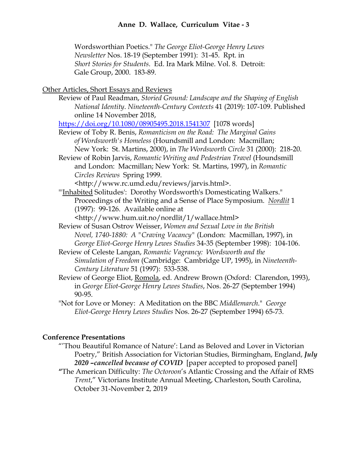Wordsworthian Poetics." *The George Eliot-George Henry Lewes Newsletter* Nos. 18-19 (September 1991): 31-45. Rpt. in *Short Stories for Students*. Ed. Ira Mark Milne. Vol. 8. Detroit: Gale Group, 2000. 183-89.

### Other Articles, Short Essays and Reviews

Review of Paul Readman, *Storied Ground: Landscape and the Shaping of English National Identity*. *Nineteenth-Century Contexts* 41 (2019): 107-109. Published online 14 November 2018,

https://doi.org/10.1080/08905495.2018.1541307 [1078 words]

- Review of Toby R. Benis, *Romanticism on the Road: The Marginal Gains of Wordsworth's Homeless* (Houndsmill and London: Macmillan; New York: St. Martins, 2000), in *The Wordsworth Circle* 31 (2000): 218-20.
- Review of Robin Jarvis, *Romantic Writing and Pedestrian Travel* (Houndsmill and London: Macmillan; New York: St. Martins, 1997), in *Romantic Circles Reviews* Spring 1999.

<http://www.rc.umd.edu/reviews/jarvis.html>.

"'Inhabited Solitudes': Dorothy Wordsworth's Domesticating Walkers." Proceedings of the Writing and a Sense of Place Symposium. *Nordlit* 1 (1997): 99-126. Available online at

<http://www.hum.uit.no/nordlit/1/wallace.html>

- Review of Susan Ostrov Weisser, *Women and Sexual Love in the British Novel, 1740-1880: A "Craving Vacancy"* (London: Macmillan, 1997), in *George Eliot-George Henry Lewes Studies* 34-35 (September 1998): 104-106.
- Review of Celeste Langan, *Romantic Vagrancy: Wordsworth and the Simulation of Freedom* (Cambridge: Cambridge UP, 1995), in *Nineteenth-Century Literature* 51 (1997): 533-538.
- Review of George Eliot, Romola, ed. Andrew Brown (Oxford: Clarendon, 1993), in *George Eliot-George Henry Lewes Studies*, Nos. 26-27 (September 1994) 90-95.

"Not for Love or Money: A Meditation on the BBC *Middlemarch*." *George Eliot-George Henry Lewes Studies* Nos. 26-27 (September 1994) 65-73.

#### **Conference Presentations**

- "'Thou Beautiful Romance of Nature': Land as Beloved and Lover in Victorian Poetry," British Association for Victorian Studies, Birmingham, England, *July 2020 –cancelled because of COVID* [paper accepted to proposed panel]
- **"**The American Difficulty: *The Octoroon*'s Atlantic Crossing and the Affair of RMS *Trent*," Victorians Institute Annual Meeting, Charleston, South Carolina, October 31-November 2, 2019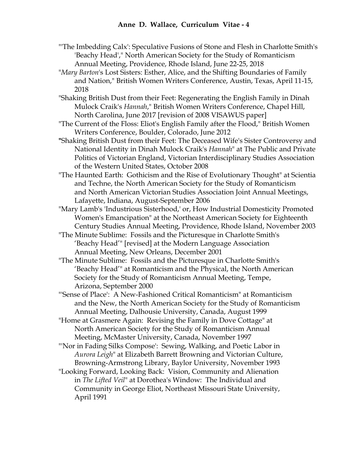- "'The Imbedding Calx': Speculative Fusions of Stone and Flesh in Charlotte Smith's 'Beachy Head'," North American Society for the Study of Romanticism Annual Meeting, Providence, Rhode Island, June 22-25, 2018
- "*Mary Barton*'s Lost Sisters: Esther, Alice, and the Shifting Boundaries of Family and Nation," British Women Writers Conference, Austin, Texas, April 11-15, 2018
- "Shaking British Dust from their Feet: Regenerating the English Family in Dinah Mulock Craik's *Hannah*," British Women Writers Conference, Chapel Hill, North Carolina, June 2017 [revision of 2008 VISAWUS paper]
- "The Current of the Floss: Eliot's English Family after the Flood," British Women Writers Conference, Boulder, Colorado, June 2012
- **"**Shaking British Dust from their Feet: The Deceased Wife's Sister Controversy and National Identity in Dinah Mulock Craik's *Hannah*" at The Public and Private Politics of Victorian England, Victorian Interdisciplinary Studies Association of the Western United States, October 2008
- "The Haunted Earth: Gothicism and the Rise of Evolutionary Thought" at Scientia and Techne, the North American Society for the Study of Romanticism and North American Victorian Studies Association Joint Annual Meetings, Lafayette, Indiana, August-September 2006
- "Mary Lamb's 'Industrious Sisterhood,' or, How Industrial Domesticity Promoted Women's Emancipation" at the Northeast American Society for Eighteenth Century Studies Annual Meeting, Providence, Rhode Island, November 2003
- "The Minute Sublime: Fossils and the Picturesque in Charlotte Smith's 'Beachy Head'" [revised] at the Modern Language Association Annual Meeting, New Orleans, December 2001
- "The Minute Sublime: Fossils and the Picturesque in Charlotte Smith's 'Beachy Head'" at Romanticism and the Physical, the North American Society for the Study of Romanticism Annual Meeting, Tempe, Arizona, September 2000
- "'Sense of Place': A New-Fashioned Critical Romanticism" at Romanticism and the New, the North American Society for the Study of Romanticism Annual Meeting, Dalhousie University, Canada, August 1999
- "Home at Grasmere Again: Revising the Family in Dove Cottage" at North American Society for the Study of Romanticism Annual Meeting, McMaster University, Canada, November 1997
- "'Nor in Fading Silks Compose': Sewing, Walking, and Poetic Labor in *Aurora Leigh*" at Elizabeth Barrett Browning and Victorian Culture, Browning-Armstrong Library, Baylor University, November 1993
- "Looking Forward, Looking Back: Vision, Community and Alienation in *The Lifted Veil*" at Dorothea's Window: The Individual and Community in George Eliot, Northeast Missouri State University, April 1991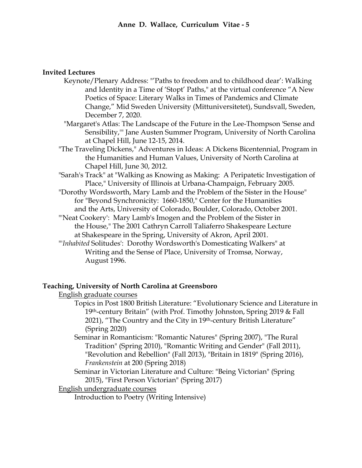# **Invited Lectures**

- Keynote/Plenary Address: "'Paths to freedom and to childhood dear': Walking and Identity in a Time of 'Stopt' Paths," at the virtual conference "A New Poetics of Space: Literary Walks in Times of Pandemics and Climate Change," Mid Sweden University (Mittuniversitetet), Sundsvall, Sweden, December 7, 2020.
- "Margaret's Atlas: The Landscape of the Future in the Lee-Thompson 'Sense and Sensibility,'" Jane Austen Summer Program, University of North Carolina at Chapel Hill, June 12-15, 2014.
- "The Traveling Dickens," Adventures in Ideas: A Dickens Bicentennial, Program in the Humanities and Human Values, University of North Carolina at Chapel Hill, June 30, 2012.
- "Sarah's Track" at "Walking as Knowing as Making: A Peripatetic Investigation of Place," University of Illinois at Urbana-Champaign, February 2005.
- "Dorothy Wordsworth, Mary Lamb and the Problem of the Sister in the House" for "Beyond Synchronicity: 1660-1850," Center for the Humanities and the Arts, University of Colorado, Boulder, Colorado, October 2001.
- "'Neat Cookery': Mary Lamb's Imogen and the Problem of the Sister in the House," The 2001 Cathryn Carroll Taliaferro Shakespeare Lecture at Shakespeare in the Spring, University of Akron, April 2001.
- "'*Inhabited* Solitudes': Dorothy Wordsworth's Domesticating Walkers" at Writing and the Sense of Place, University of Tromsø, Norway, August 1996.

## **Teaching, University of North Carolina at Greensboro**

English graduate courses

- Topics in Post 1800 British Literature: "Evolutionary Science and Literature in 19<sup>th</sup>-century Britain" (with Prof. Timothy Johnston, Spring 2019 & Fall 2021), "The Country and the City in 19<sup>th</sup>-century British Literature" (Spring 2020)
- Seminar in Romanticism: "Romantic Natures" (Spring 2007), "The Rural Tradition" (Spring 2010), "Romantic Writing and Gender" (Fall 2011), "Revolution and Rebellion" (Fall 2013), "Britain in 1819" (Spring 2016), *Frankenstein* at 200 (Spring 2018)
- Seminar in Victorian Literature and Culture: "Being Victorian" (Spring 2015), "First Person Victorian" (Spring 2017)

## English undergraduate courses

Introduction to Poetry (Writing Intensive)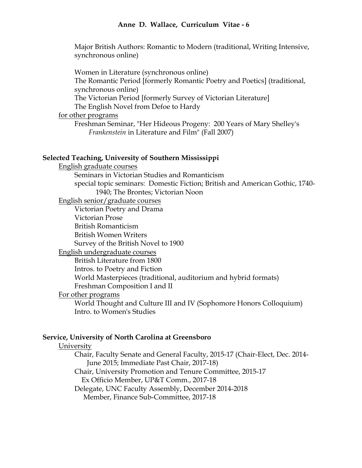Major British Authors: Romantic to Modern (traditional, Writing Intensive, synchronous online)

Women in Literature (synchronous online) The Romantic Period [formerly Romantic Poetry and Poetics] (traditional, synchronous online) The Victorian Period [formerly Survey of Victorian Literature] The English Novel from Defoe to Hardy for other programs

Freshman Seminar, "Her Hideous Progeny: 200 Years of Mary Shelley's *Frankenstein* in Literature and Film" (Fall 2007)

#### **Selected Teaching, University of Southern Mississippi**

English graduate courses Seminars in Victorian Studies and Romanticism special topic seminars: Domestic Fiction; British and American Gothic, 1740- 1940; The Brontes; Victorian Noon English senior/graduate courses Victorian Poetry and Drama Victorian Prose British Romanticism British Women Writers Survey of the British Novel to 1900 English undergraduate courses British Literature from 1800 Intros. to Poetry and Fiction World Masterpieces (traditional, auditorium and hybrid formats) Freshman Composition I and II For other programs World Thought and Culture III and IV (Sophomore Honors Colloquium) Intro. to Women's Studies

# **Service, University of North Carolina at Greensboro**

## University

Chair, Faculty Senate and General Faculty, 2015-17 (Chair-Elect, Dec. 2014- June 2015; Immediate Past Chair, 2017-18)

Chair, University Promotion and Tenure Committee, 2015-17 Ex Officio Member, UP&T Comm., 2017-18

Delegate, UNC Faculty Assembly, December 2014-2018 Member, Finance Sub-Committee, 2017-18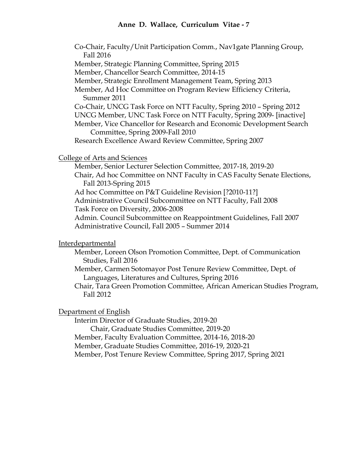Co-Chair, Faculty/Unit Participation Comm., Nav1gate Planning Group, Fall 2016 Member, Strategic Planning Committee, Spring 2015 Member, Chancellor Search Committee, 2014-15 Member, Strategic Enrollment Management Team, Spring 2013 Member, Ad Hoc Committee on Program Review Efficiency Criteria, Summer 2011 Co-Chair, UNCG Task Force on NTT Faculty, Spring 2010 – Spring 2012 UNCG Member, UNC Task Force on NTT Faculty, Spring 2009- [inactive] Member, Vice Chancellor for Research and Economic Development Search Committee, Spring 2009-Fall 2010 Research Excellence Award Review Committee, Spring 2007 College of Arts and Sciences Member, Senior Lecturer Selection Committee, 2017-18, 2019-20 Chair, Ad hoc Committee on NNT Faculty in CAS Faculty Senate Elections, Fall 2013-Spring 2015 Ad hoc Committee on P&T Guideline Revision [?2010-11?] Administrative Council Subcommittee on NTT Faculty, Fall 2008 Task Force on Diversity, 2006-2008 Admin. Council Subcommittee on Reappointment Guidelines, Fall 2007 Administrative Council, Fall 2005 – Summer 2014

Interdepartmental

- Member, Loreen Olson Promotion Committee, Dept. of Communication Studies, Fall 2016
- Member, Carmen Sotomayor Post Tenure Review Committee, Dept. of Languages, Literatures and Cultures, Spring 2016
- Chair, Tara Green Promotion Committee, African American Studies Program, Fall 2012

## Department of English

Interim Director of Graduate Studies, 2019-20

Chair, Graduate Studies Committee, 2019-20

Member, Faculty Evaluation Committee, 2014-16, 2018-20

Member, Graduate Studies Committee, 2016-19, 2020-21

Member, Post Tenure Review Committee, Spring 2017, Spring 2021